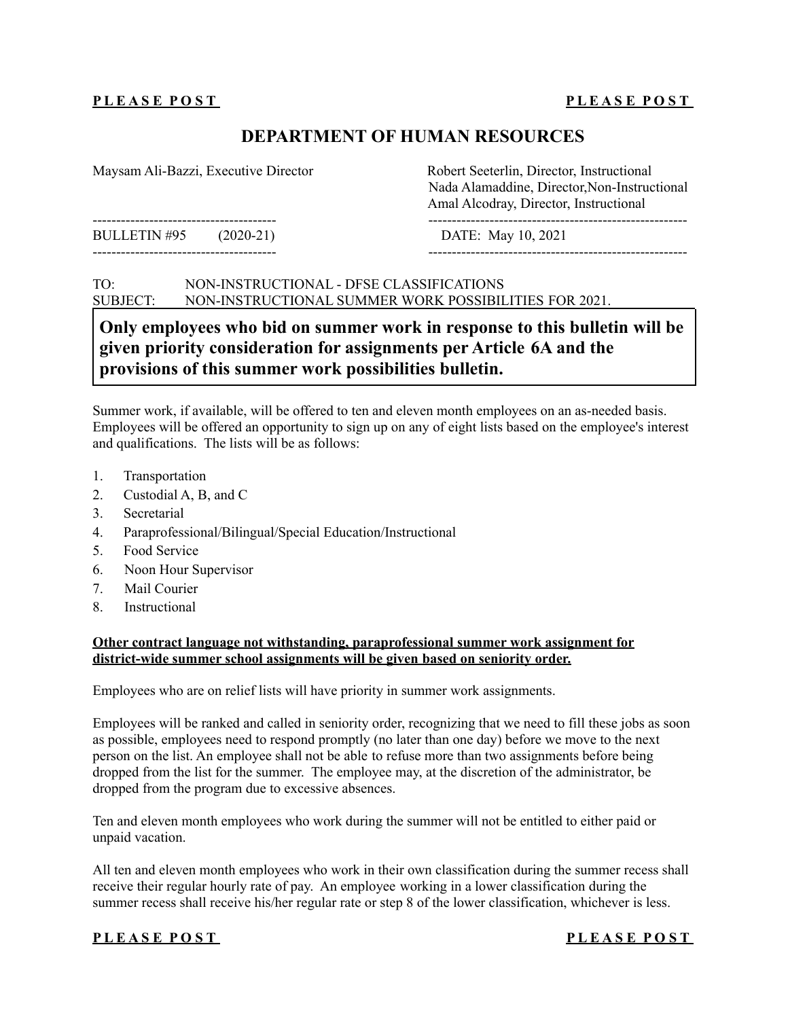### **PLEASE POST**

# **DEPARTMENT OF HUMAN RESOURCES**

Maysam Ali-Bazzi, Executive Director Robert Seeterlin, Director, Instructional

--------------------------------------- ------------------------------------------------------- BULLETIN #95 (2020-21) DATE: May 10, 2021

--------------------------------------- -------------------------------------------------------

Nada Alamaddine, Director,Non-Instructional Amal Alcodray, Director, Instructional

### TO: NON-INSTRUCTIONAL - DFSE CLASSIFICATIONS SUBJECT: NON-INSTRUCTIONAL SUMMER WORK POSSIBILITIES FOR 2021.

# **Only employees who bid on summer work in response to this bulletin will be given priority consideration for assignments per Article 6A and the provisions of this summer work possibilities bulletin.**

Summer work, if available, will be offered to ten and eleven month employees on an as-needed basis. Employees will be offered an opportunity to sign up on any of eight lists based on the employee's interest and qualifications. The lists will be as follows:

- 1. Transportation
- 2. Custodial A, B, and C
- 3. Secretarial
- 4. Paraprofessional/Bilingual/Special Education/Instructional
- 5. Food Service
- 6. Noon Hour Supervisor
- 7. Mail Courier
- 8. Instructional

### **Other contract language not withstanding, paraprofessional summer work assignment for district-wide summer school assignments will be given based on seniority order.**

Employees who are on relief lists will have priority in summer work assignments.

Employees will be ranked and called in seniority order, recognizing that we need to fill these jobs as soon as possible, employees need to respond promptly (no later than one day) before we move to the next person on the list. An employee shall not be able to refuse more than two assignments before being dropped from the list for the summer. The employee may, at the discretion of the administrator, be dropped from the program due to excessive absences.

Ten and eleven month employees who work during the summer will not be entitled to either paid or unpaid vacation.

All ten and eleven month employees who work in their own classification during the summer recess shall receive their regular hourly rate of pay. An employee working in a lower classification during the summer recess shall receive his/her regular rate or step 8 of the lower classification, whichever is less.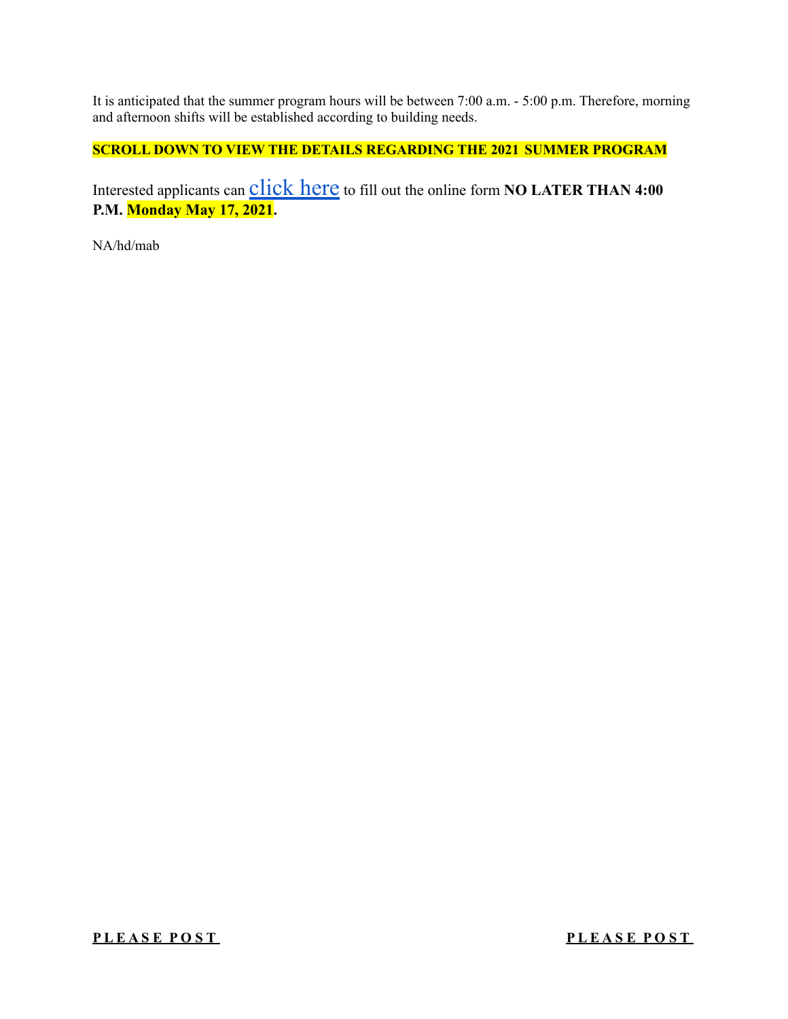It is anticipated that the summer program hours will be between 7:00 a.m. - 5:00 p.m. Therefore, morning and afternoon shifts will be established according to building needs.

# **SCROLL DOWN TO VIEW THE DETAILS REGARDING THE 2021 SUMMER PROGRAM**

Interested applicants can **Click here** to fill out the online form **NO LATER THAN 4:00 P.M. Monday May 17, 2021.**

NA/hd/mab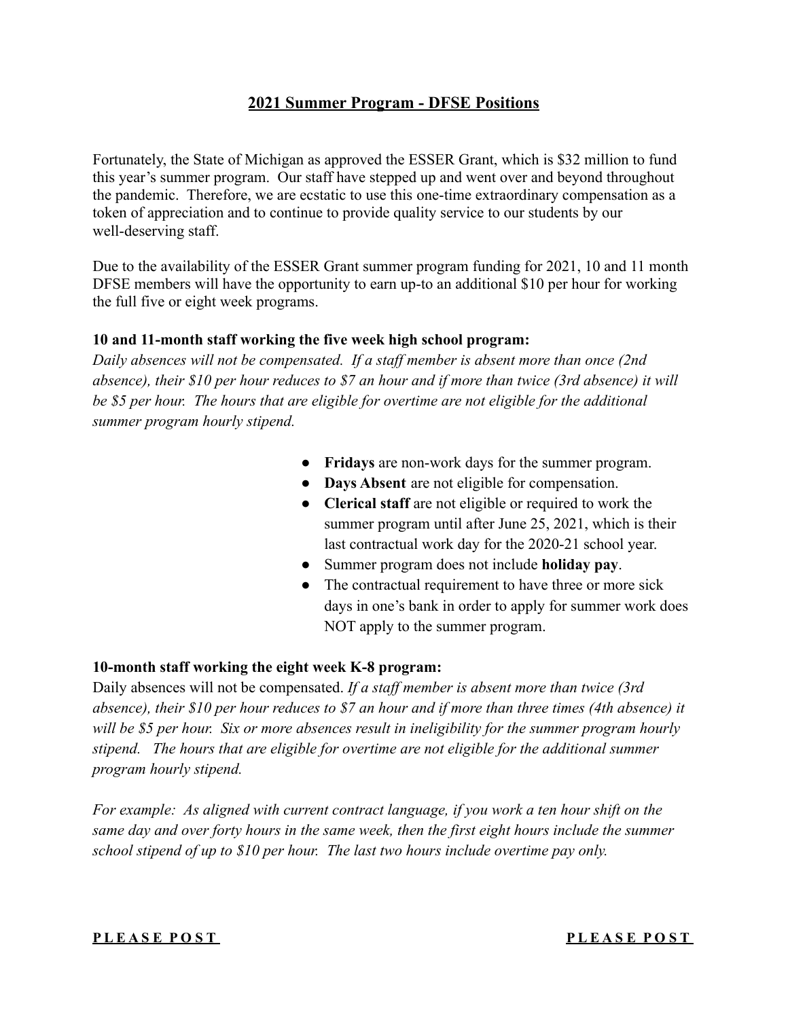# **2021 Summer Program - DFSE Positions**

Fortunately, the State of Michigan as approved the ESSER Grant, which is \$32 million to fund this year's summer program. Our staff have stepped up and went over and beyond throughout the pandemic. Therefore, we are ecstatic to use this one-time extraordinary compensation as a token of appreciation and to continue to provide quality service to our students by our well-deserving staff.

Due to the availability of the ESSER Grant summer program funding for 2021, 10 and 11 month DFSE members will have the opportunity to earn up-to an additional \$10 per hour for working the full five or eight week programs.

# **10 and 11-month staff working the five week high school program:**

*Daily absences will not be compensated. If a staff member is absent more than once (2nd absence), their \$10 per hour reduces to \$7 an hour and if more than twice (3rd absence) it will be \$5 per hour. The hours that are eligible for overtime are not eligible for the additional summer program hourly stipend.*

- **Fridays** are non-work days for the summer program.
- **Days Absent** are not eligible for compensation.
- **Clerical staff** are not eligible or required to work the summer program until after June 25, 2021, which is their last contractual work day for the 2020-21 school year.
- Summer program does not include **holiday pay**.
- The contractual requirement to have three or more sick days in one's bank in order to apply for summer work does NOT apply to the summer program.

# **10-month staff working the eight week K-8 program:**

Daily absences will not be compensated. *If a staff member is absent more than twice (3rd absence), their \$10 per hour reduces to \$7 an hour and if more than three times (4th absence) it will be \$5 per hour. Six or more absences result in ineligibility for the summer program hourly stipend. The hours that are eligible for overtime are not eligible for the additional summer program hourly stipend.*

*For example: As aligned with current contract language, if you work a ten hour shift on the same day and over forty hours in the same week, then the first eight hours include the summer school stipend of up to \$10 per hour. The last two hours include overtime pay only.*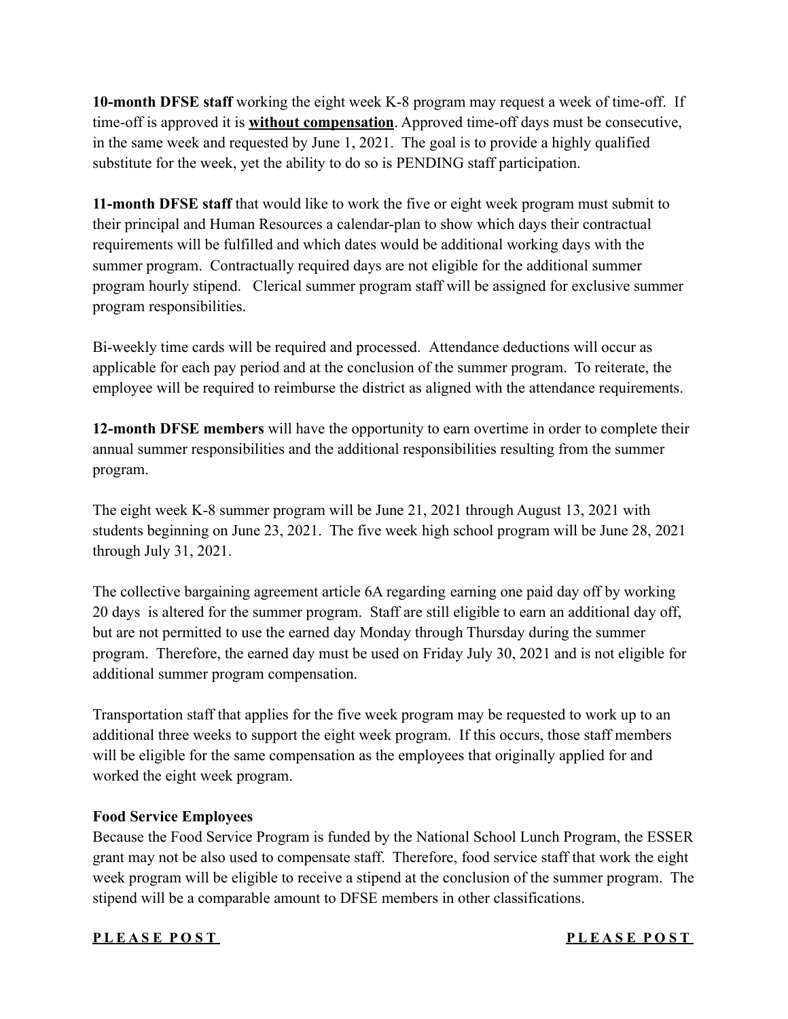**10-month DFSE staff** working the eight week K-8 program may request a week of time-off. If time-off is approved it is **without compensation**. Approved time-off days must be consecutive, in the same week and requested by June 1, 2021. The goal is to provide a highly qualified substitute for the week, yet the ability to do so is PENDING staff participation.

**11-month DFSE staff** that would like to work the five or eight week program must submit to their principal and Human Resources a calendar-plan to show which days their contractual requirements will be fulfilled and which dates would be additional working days with the summer program. Contractually required days are not eligible for the additional summer program hourly stipend. Clerical summer program staff will be assigned for exclusive summer program responsibilities.

Bi-weekly time cards will be required and processed. Attendance deductions will occur as applicable for each pay period and at the conclusion of the summer program. To reiterate, the employee will be required to reimburse the district as aligned with the attendance requirements.

**12-month DFSE members** will have the opportunity to earn overtime in order to complete their annual summer responsibilities and the additional responsibilities resulting from the summer program.

The eight week K-8 summer program will be June 21, 2021 through August 13, 2021 with students beginning on June 23, 2021. The five week high school program will be June 28, 2021 through July 31, 2021.

The collective bargaining agreement article 6A regarding earning one paid day off by working 20 days is altered for the summer program. Staff are still eligible to earn an additional day off, but are not permitted to use the earned day Monday through Thursday during the summer program. Therefore, the earned day must be used on Friday July 30, 2021 and is not eligible for additional summer program compensation.

Transportation staff that applies for the five week program may be requested to work up to an additional three weeks to support the eight week program. If this occurs, those staff members will be eligible for the same compensation as the employees that originally applied for and worked the eight week program.

# **Food Service Employees**

Because the Food Service Program is funded by the National School Lunch Program, the ESSER grant may not be also used to compensate staff. Therefore, food service staff that work the eight week program will be eligible to receive a stipend at the conclusion of the summer program. The stipend will be a comparable amount to DFSE members in other classifications.